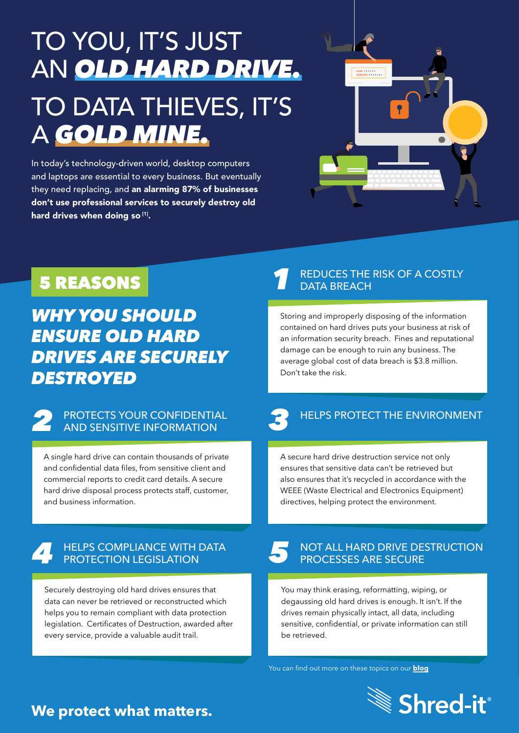# TO YOU, IT'S JUST AN *OLD HARD DRIVE.* TO DATA THIEVES, IT'S A *GOLD MINE.*

In today's technology-driven world, desktop computers and laptops are essential to every business. But eventually they need replacing, and an alarming 87% of businesses don't use professional services to securely destroy old hard drives when doing so [1].



## 5 REASONS

*WHY YOU SHOULD ENSURE OLD HARD DRIVES ARE SECURELY DESTROYED* 

### **2** PROTECTS YOUR CONFIDENTIAL<br>AND SENSITIVE INFORMATION AND SENSITIVE INFORMATION

A single hard drive can contain thousands of private and confidential data files, from sensitive client and commercial reports to credit card details. A secure hard drive disposal process protects staff, customer, and business information.

### *4 5* HELPS COMPLIANCE WITH DATA PROTECTION LEGISLATION

Securely destroying old hard drives ensures that data can never be retrieved or reconstructed which helps you to remain compliant with data protection legislation. Certificates of Destruction, awarded after every service, provide a valuable audit trail.

#### *1* REDUCES THE RISK OF A COSTLY DATA BREACH

Storing and improperly disposing of the information contained on hard drives puts your business at risk of an information security breach. Fines and reputational damage can be enough to ruin any business. The average global cost of data breach is \$3.8 million. Don't take the risk.

## HELPS PROTECT THE ENVIRONMENT

A secure hard drive destruction service not only ensures that sensitive data can't be retrieved but also ensures that it's recycled in accordance with the WEEE (Waste Electrical and Electronics Equipment) directives, helping protect the environment.

#### NOT ALL HARD DRIVE DESTRUCTION PROCESSES ARE SECURE

You may think erasing, reformatting, wiping, or degaussing old hard drives is enough. It isn't. If the drives remain physically intact, all data, including sensitive, confidential, or private information can still be retrieved.

[You can find out more on these topics on our](https://www.shredit.co.uk/en-gb/blog/cybersecurity/5-reasons-businesses-should-invest-in-hard-drive-destruction-services-1) **blog**



### **We protect what matters.**